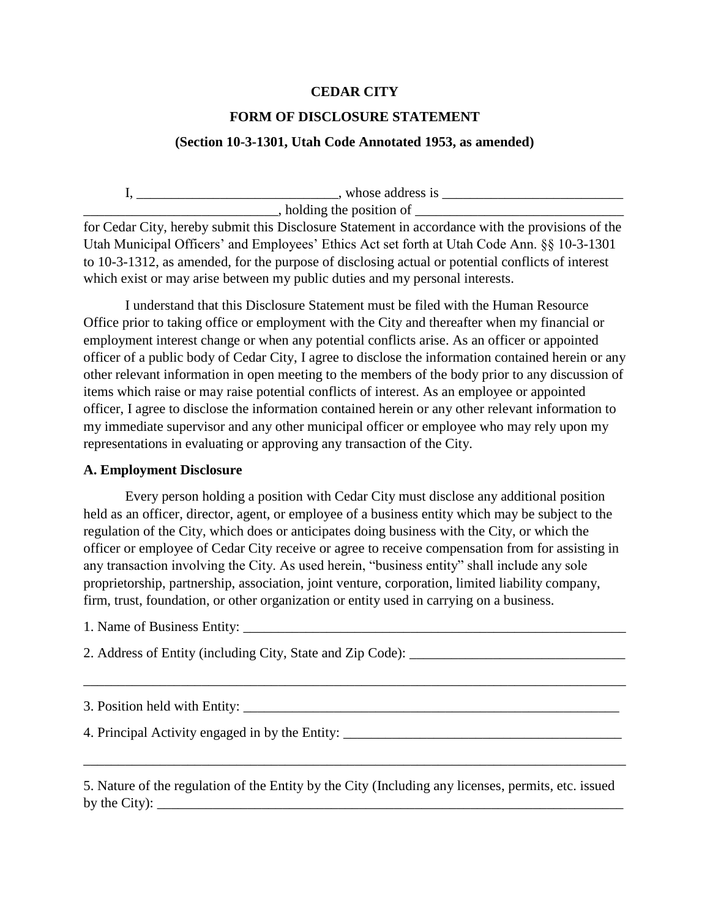## **CEDAR CITY**

# **FORM OF DISCLOSURE STATEMENT**

## **(Section 10-3-1301, Utah Code Annotated 1953, as amended)**

 $I, \underline{\hspace{1cm}}$   $I, \underline{\hspace{1cm}}$   $I, \underline{\hspace{1cm}}$   $I, \underline{\hspace{1cm}}$   $I, \underline{\hspace{1cm}}$   $I, \underline{\hspace{1cm}}$   $I, \underline{\hspace{1cm}}$   $I, \underline{\hspace{1cm}}$   $I, \underline{\hspace{1cm}}$   $I, \underline{\hspace{1cm}}$   $I, \underline{\hspace{1cm}}$   $I, \underline{\hspace{1cm}}$   $I, \underline{\hspace{1cm}}$   $I, \underline{\hspace{1cm}}$   $I, \underline{\hspace{1cm}}$   $I, \underline{\hspace{1cm$ \_\_\_\_\_\_\_\_\_\_\_\_\_\_\_\_\_\_\_\_\_\_\_\_\_\_\_\_, holding the position of \_\_\_\_\_\_\_\_\_\_\_\_\_\_\_\_\_\_\_\_\_\_\_\_\_\_\_\_\_\_

for Cedar City, hereby submit this Disclosure Statement in accordance with the provisions of the Utah Municipal Officers' and Employees' Ethics Act set forth at Utah Code Ann. §§ 10-3-1301 to 10-3-1312, as amended, for the purpose of disclosing actual or potential conflicts of interest which exist or may arise between my public duties and my personal interests.

I understand that this Disclosure Statement must be filed with the Human Resource Office prior to taking office or employment with the City and thereafter when my financial or employment interest change or when any potential conflicts arise. As an officer or appointed officer of a public body of Cedar City, I agree to disclose the information contained herein or any other relevant information in open meeting to the members of the body prior to any discussion of items which raise or may raise potential conflicts of interest. As an employee or appointed officer, I agree to disclose the information contained herein or any other relevant information to my immediate supervisor and any other municipal officer or employee who may rely upon my representations in evaluating or approving any transaction of the City.

#### **A. Employment Disclosure**

Every person holding a position with Cedar City must disclose any additional position held as an officer, director, agent, or employee of a business entity which may be subject to the regulation of the City, which does or anticipates doing business with the City, or which the officer or employee of Cedar City receive or agree to receive compensation from for assisting in any transaction involving the City. As used herein, "business entity" shall include any sole proprietorship, partnership, association, joint venture, corporation, limited liability company, firm, trust, foundation, or other organization or entity used in carrying on a business.

1. Name of Business Entity:

2. Address of Entity (including City, State and Zip Code): \_\_\_\_\_\_\_\_\_\_\_\_\_\_\_\_\_\_\_\_\_\_

3. Position held with Entity: \_\_\_\_\_\_\_\_\_\_\_\_\_\_\_\_\_\_\_\_\_\_\_\_\_\_\_\_\_\_\_\_\_\_\_\_\_\_\_\_\_\_\_\_\_\_\_\_\_\_\_\_\_\_

\_\_\_\_\_\_\_\_\_\_\_\_\_\_\_\_\_\_\_\_\_\_\_\_\_\_\_\_\_\_\_\_\_\_\_\_\_\_\_\_\_\_\_\_\_\_\_\_\_\_\_\_\_\_\_\_\_\_\_\_\_\_\_\_\_\_\_\_\_\_\_\_\_\_\_\_\_\_

4. Principal Activity engaged in by the Entity: \_\_\_\_\_\_\_\_\_\_\_\_\_\_\_\_\_\_\_\_\_\_\_\_\_\_\_\_\_\_\_\_\_

5. Nature of the regulation of the Entity by the City (Including any licenses, permits, etc. issued by the City):

\_\_\_\_\_\_\_\_\_\_\_\_\_\_\_\_\_\_\_\_\_\_\_\_\_\_\_\_\_\_\_\_\_\_\_\_\_\_\_\_\_\_\_\_\_\_\_\_\_\_\_\_\_\_\_\_\_\_\_\_\_\_\_\_\_\_\_\_\_\_\_\_\_\_\_\_\_\_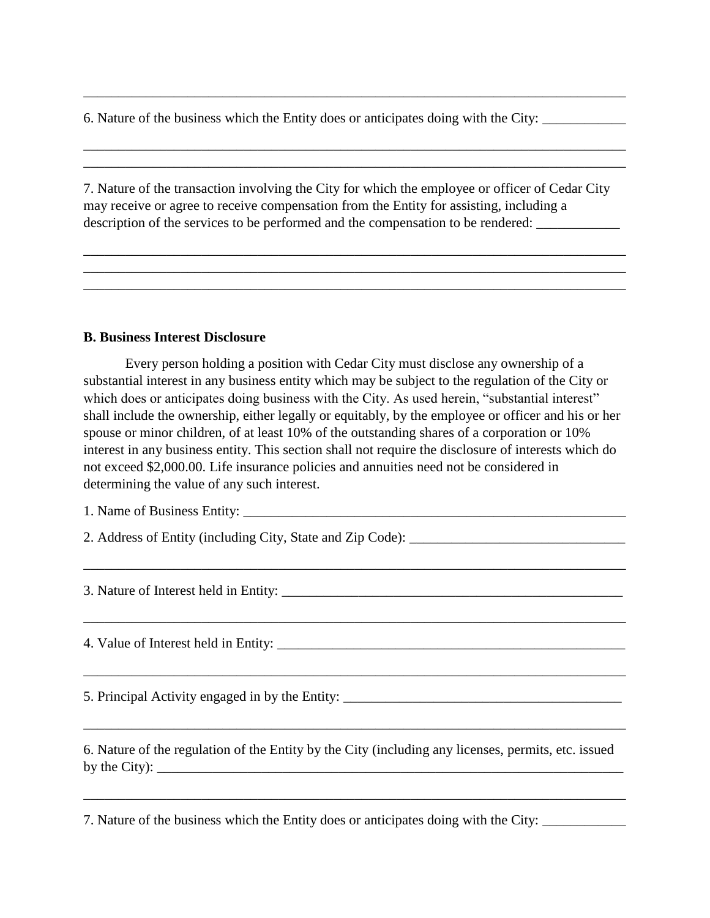6. Nature of the business which the Entity does or anticipates doing with the City:

7. Nature of the transaction involving the City for which the employee or officer of Cedar City may receive or agree to receive compensation from the Entity for assisting, including a description of the services to be performed and the compensation to be rendered:

\_\_\_\_\_\_\_\_\_\_\_\_\_\_\_\_\_\_\_\_\_\_\_\_\_\_\_\_\_\_\_\_\_\_\_\_\_\_\_\_\_\_\_\_\_\_\_\_\_\_\_\_\_\_\_\_\_\_\_\_\_\_\_\_\_\_\_\_\_\_\_\_\_\_\_\_\_\_ \_\_\_\_\_\_\_\_\_\_\_\_\_\_\_\_\_\_\_\_\_\_\_\_\_\_\_\_\_\_\_\_\_\_\_\_\_\_\_\_\_\_\_\_\_\_\_\_\_\_\_\_\_\_\_\_\_\_\_\_\_\_\_\_\_\_\_\_\_\_\_\_\_\_\_\_\_\_ \_\_\_\_\_\_\_\_\_\_\_\_\_\_\_\_\_\_\_\_\_\_\_\_\_\_\_\_\_\_\_\_\_\_\_\_\_\_\_\_\_\_\_\_\_\_\_\_\_\_\_\_\_\_\_\_\_\_\_\_\_\_\_\_\_\_\_\_\_\_\_\_\_\_\_\_\_\_

\_\_\_\_\_\_\_\_\_\_\_\_\_\_\_\_\_\_\_\_\_\_\_\_\_\_\_\_\_\_\_\_\_\_\_\_\_\_\_\_\_\_\_\_\_\_\_\_\_\_\_\_\_\_\_\_\_\_\_\_\_\_\_\_\_\_\_\_\_\_\_\_\_\_\_\_\_\_

\_\_\_\_\_\_\_\_\_\_\_\_\_\_\_\_\_\_\_\_\_\_\_\_\_\_\_\_\_\_\_\_\_\_\_\_\_\_\_\_\_\_\_\_\_\_\_\_\_\_\_\_\_\_\_\_\_\_\_\_\_\_\_\_\_\_\_\_\_\_\_\_\_\_\_\_\_\_ \_\_\_\_\_\_\_\_\_\_\_\_\_\_\_\_\_\_\_\_\_\_\_\_\_\_\_\_\_\_\_\_\_\_\_\_\_\_\_\_\_\_\_\_\_\_\_\_\_\_\_\_\_\_\_\_\_\_\_\_\_\_\_\_\_\_\_\_\_\_\_\_\_\_\_\_\_\_

## **B. Business Interest Disclosure**

Every person holding a position with Cedar City must disclose any ownership of a substantial interest in any business entity which may be subject to the regulation of the City or which does or anticipates doing business with the City. As used herein, "substantial interest" shall include the ownership, either legally or equitably, by the employee or officer and his or her spouse or minor children, of at least 10% of the outstanding shares of a corporation or 10% interest in any business entity. This section shall not require the disclosure of interests which do not exceed \$2,000.00. Life insurance policies and annuities need not be considered in determining the value of any such interest.

\_\_\_\_\_\_\_\_\_\_\_\_\_\_\_\_\_\_\_\_\_\_\_\_\_\_\_\_\_\_\_\_\_\_\_\_\_\_\_\_\_\_\_\_\_\_\_\_\_\_\_\_\_\_\_\_\_\_\_\_\_\_\_\_\_\_\_\_\_\_\_\_\_\_\_\_\_\_

\_\_\_\_\_\_\_\_\_\_\_\_\_\_\_\_\_\_\_\_\_\_\_\_\_\_\_\_\_\_\_\_\_\_\_\_\_\_\_\_\_\_\_\_\_\_\_\_\_\_\_\_\_\_\_\_\_\_\_\_\_\_\_\_\_\_\_\_\_\_\_\_\_\_\_\_\_\_

\_\_\_\_\_\_\_\_\_\_\_\_\_\_\_\_\_\_\_\_\_\_\_\_\_\_\_\_\_\_\_\_\_\_\_\_\_\_\_\_\_\_\_\_\_\_\_\_\_\_\_\_\_\_\_\_\_\_\_\_\_\_\_\_\_\_\_\_\_\_\_\_\_\_\_\_\_\_

\_\_\_\_\_\_\_\_\_\_\_\_\_\_\_\_\_\_\_\_\_\_\_\_\_\_\_\_\_\_\_\_\_\_\_\_\_\_\_\_\_\_\_\_\_\_\_\_\_\_\_\_\_\_\_\_\_\_\_\_\_\_\_\_\_\_\_\_\_\_\_\_\_\_\_\_\_\_

1. Name of Business Entity: \_\_\_\_\_\_\_\_\_\_\_\_\_\_\_\_\_\_\_\_\_\_\_\_\_\_\_\_\_\_\_\_\_\_\_\_\_\_\_\_\_\_\_\_\_\_\_\_\_\_\_\_\_\_\_

2. Address of Entity (including City, State and Zip Code):

3. Nature of Interest held in Entity: \_\_\_\_\_\_\_\_\_\_\_\_\_\_\_\_\_\_\_\_\_\_\_\_\_\_\_\_\_\_\_\_\_\_\_\_\_\_\_\_\_\_\_\_\_\_\_\_\_

4. Value of Interest held in Entity: \_\_\_\_\_\_\_\_\_\_\_\_\_\_\_\_\_\_\_\_\_\_\_\_\_\_\_\_\_\_\_\_\_\_\_\_\_\_\_\_\_\_\_\_\_\_\_\_\_\_

5. Principal Activity engaged in by the Entity: \_\_\_\_\_\_\_\_\_\_\_\_\_\_\_\_\_\_\_\_\_\_\_\_\_\_\_\_\_\_\_\_\_

6. Nature of the regulation of the Entity by the City (including any licenses, permits, etc. issued by the City):

\_\_\_\_\_\_\_\_\_\_\_\_\_\_\_\_\_\_\_\_\_\_\_\_\_\_\_\_\_\_\_\_\_\_\_\_\_\_\_\_\_\_\_\_\_\_\_\_\_\_\_\_\_\_\_\_\_\_\_\_\_\_\_\_\_\_\_\_\_\_\_\_\_\_\_\_\_\_

7. Nature of the business which the Entity does or anticipates doing with the City: \_\_\_\_\_\_\_\_\_\_\_\_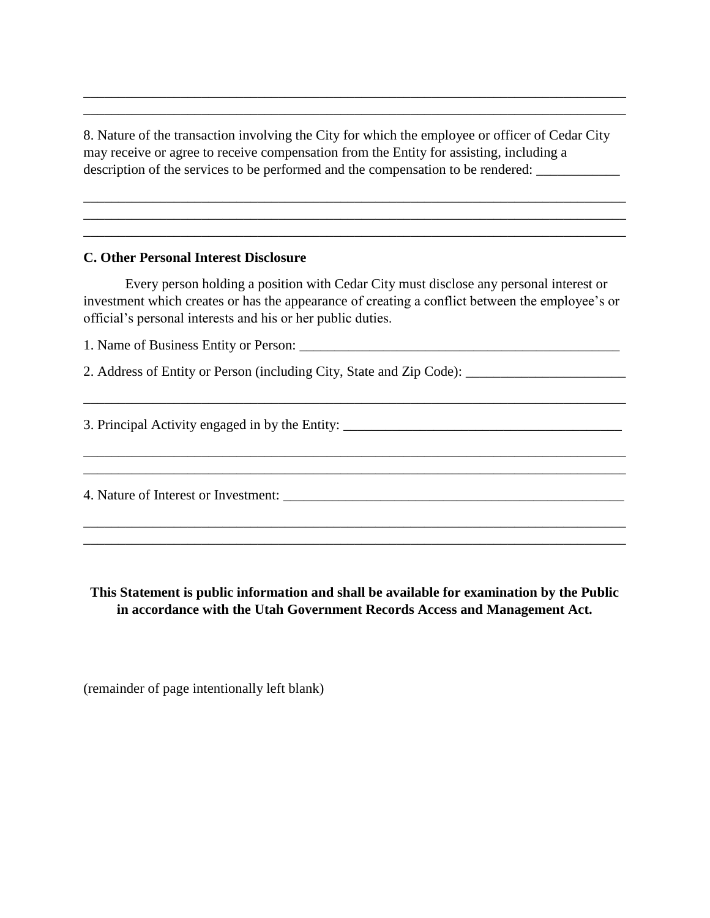8. Nature of the transaction involving the City for which the employee or officer of Cedar City may receive or agree to receive compensation from the Entity for assisting, including a description of the services to be performed and the compensation to be rendered: \_\_\_\_\_\_\_\_\_\_\_\_\_\_\_\_\_\_

\_\_\_\_\_\_\_\_\_\_\_\_\_\_\_\_\_\_\_\_\_\_\_\_\_\_\_\_\_\_\_\_\_\_\_\_\_\_\_\_\_\_\_\_\_\_\_\_\_\_\_\_\_\_\_\_\_\_\_\_\_\_\_\_\_\_\_\_\_\_\_\_\_\_\_\_\_\_ \_\_\_\_\_\_\_\_\_\_\_\_\_\_\_\_\_\_\_\_\_\_\_\_\_\_\_\_\_\_\_\_\_\_\_\_\_\_\_\_\_\_\_\_\_\_\_\_\_\_\_\_\_\_\_\_\_\_\_\_\_\_\_\_\_\_\_\_\_\_\_\_\_\_\_\_\_\_ \_\_\_\_\_\_\_\_\_\_\_\_\_\_\_\_\_\_\_\_\_\_\_\_\_\_\_\_\_\_\_\_\_\_\_\_\_\_\_\_\_\_\_\_\_\_\_\_\_\_\_\_\_\_\_\_\_\_\_\_\_\_\_\_\_\_\_\_\_\_\_\_\_\_\_\_\_\_

\_\_\_\_\_\_\_\_\_\_\_\_\_\_\_\_\_\_\_\_\_\_\_\_\_\_\_\_\_\_\_\_\_\_\_\_\_\_\_\_\_\_\_\_\_\_\_\_\_\_\_\_\_\_\_\_\_\_\_\_\_\_\_\_\_\_\_\_\_\_\_\_\_\_\_\_\_\_ \_\_\_\_\_\_\_\_\_\_\_\_\_\_\_\_\_\_\_\_\_\_\_\_\_\_\_\_\_\_\_\_\_\_\_\_\_\_\_\_\_\_\_\_\_\_\_\_\_\_\_\_\_\_\_\_\_\_\_\_\_\_\_\_\_\_\_\_\_\_\_\_\_\_\_\_\_\_

## **C. Other Personal Interest Disclosure**

Every person holding a position with Cedar City must disclose any personal interest or investment which creates or has the appearance of creating a conflict between the employee's or official's personal interests and his or her public duties.

\_\_\_\_\_\_\_\_\_\_\_\_\_\_\_\_\_\_\_\_\_\_\_\_\_\_\_\_\_\_\_\_\_\_\_\_\_\_\_\_\_\_\_\_\_\_\_\_\_\_\_\_\_\_\_\_\_\_\_\_\_\_\_\_\_\_\_\_\_\_\_\_\_\_\_\_\_\_

\_\_\_\_\_\_\_\_\_\_\_\_\_\_\_\_\_\_\_\_\_\_\_\_\_\_\_\_\_\_\_\_\_\_\_\_\_\_\_\_\_\_\_\_\_\_\_\_\_\_\_\_\_\_\_\_\_\_\_\_\_\_\_\_\_\_\_\_\_\_\_\_\_\_\_\_\_\_

1. Name of Business Entity or Person:

2. Address of Entity or Person (including City, State and Zip Code): \_\_\_\_\_\_\_\_\_\_\_\_\_\_\_\_\_\_\_\_\_\_\_

3. Principal Activity engaged in by the Entity: \_\_\_\_\_\_\_\_\_\_\_\_\_\_\_\_\_\_\_\_\_\_\_\_\_\_\_\_\_\_\_\_\_

\_\_\_\_\_\_\_\_\_\_\_\_\_\_\_\_\_\_\_\_\_\_\_\_\_\_\_\_\_\_\_\_\_\_\_\_\_\_\_\_\_\_\_\_\_\_\_\_\_\_\_\_\_\_\_\_\_\_\_\_\_\_\_\_\_\_\_\_\_\_\_\_\_\_\_\_\_\_ 4. Nature of Interest or Investment: \_\_\_\_\_\_\_\_\_\_\_\_\_\_\_\_\_\_\_\_\_\_\_\_\_\_\_\_\_\_\_\_\_\_\_\_\_\_\_\_\_\_\_\_\_\_\_\_\_\_\_\_\_\_\_\_\_\_\_\_\_\_\_\_\_\_\_\_\_\_\_\_\_\_\_\_\_\_

**This Statement is public information and shall be available for examination by the Public in accordance with the Utah Government Records Access and Management Act.**

\_\_\_\_\_\_\_\_\_\_\_\_\_\_\_\_\_\_\_\_\_\_\_\_\_\_\_\_\_\_\_\_\_\_\_\_\_\_\_\_\_\_\_\_\_\_\_\_\_\_\_\_\_\_\_\_\_\_\_\_\_\_\_\_\_\_\_\_\_\_\_\_\_\_\_\_\_\_

(remainder of page intentionally left blank)